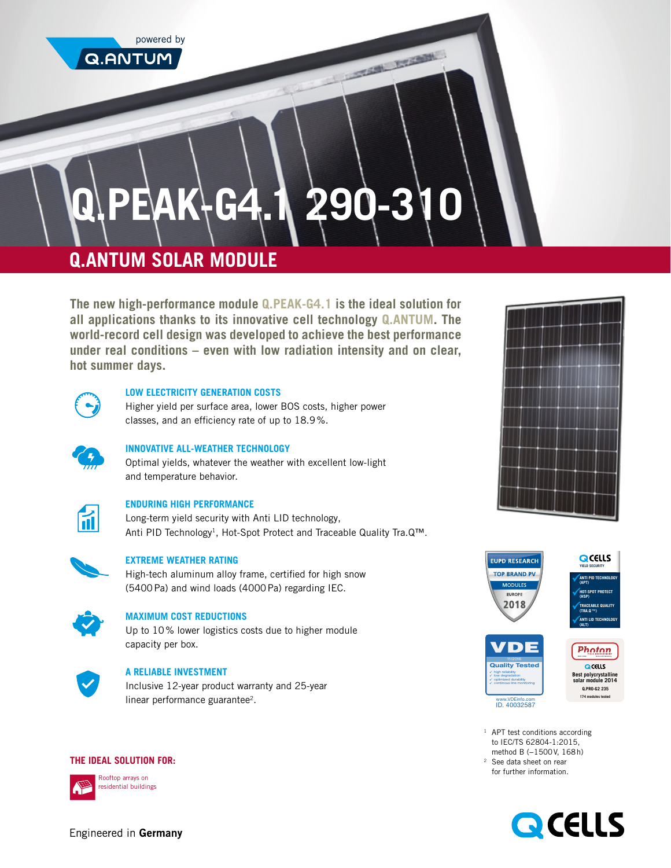powered by

**Q.ANTUM** 

# **Q.PEAK-G4.1 290-310**

THE R. P. LEWIS CO., LANSING MICH.

# **Q.ANTUM SOLAR MODULE**

**The new high-performance module Q.PEAK-G4.1 is the ideal solution for all applications thanks to its innovative cell technology Q.ANTUM. The world-record cell design was developed to achieve the best performance under real conditions – even with low radiation intensity and on clear, hot summer days.** 



### **LOW ELECTRICITY GENERATION COSTS**

Higher yield per surface area, lower BOS costs, higher power classes, and an efficiency rate of up to 18.9%.

# **INNOVATIVE ALL-WEATHER TECHNOLOGY**

Optimal yields, whatever the weather with excellent low-light and temperature behavior.



#### **ENDURING HIGH PERFORMANCE**

Long-term yield security with Anti LID technology, Anti PID Technology<sup>1</sup>, Hot-Spot Protect and Traceable Quality Tra.Q™.



#### **EXTREME WEATHER RATING**

High-tech aluminum alloy frame, certified for high snow (5400Pa) and wind loads (4000Pa) regarding IEC.



# **MAXIMUM COST REDUCTIONS**

Up to 10% lower logistics costs due to higher module capacity per box.



## **A RELIABLE INVESTMENT**

Inclusive 12-year product warranty and 25-year linear performance guarantee<sup>2</sup>.

#### **THE IDEAL SOLUTION FOR:**



Rooftop arrays on residential buildings





<sup>1</sup> APT test conditions according to IEC/TS 62804-1:2015, method B (−1500V, 168h)

<sup>2</sup> See data sheet on rear for further information.



Engineered in Germany